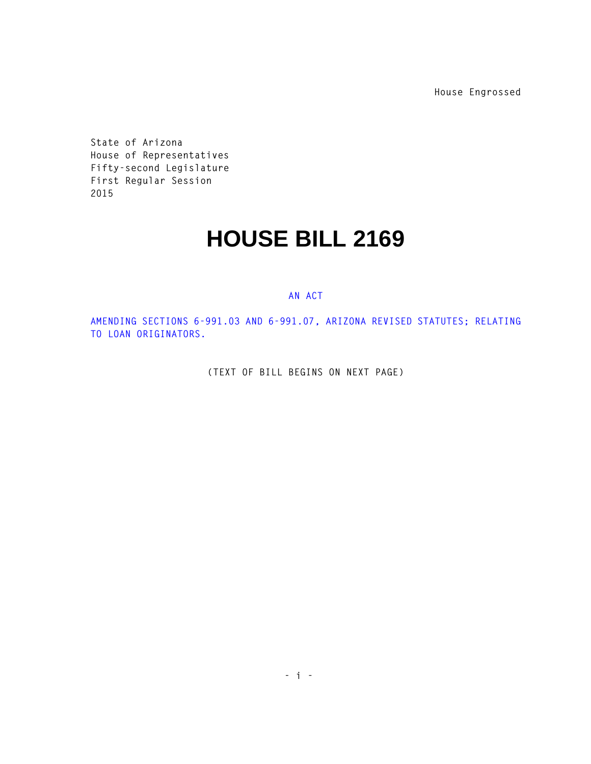**House Engrossed**

**State of Arizona House of Representatives Fifty-second Legislature First Regular Session 2015** 

## **HOUSE BILL 2169**

## **AN ACT**

**AMENDING SECTIONS 6-991.03 AND 6-991.07, ARIZONA REVISED STATUTES; RELATING TO LOAN ORIGINATORS.** 

**(TEXT OF BILL BEGINS ON NEXT PAGE)**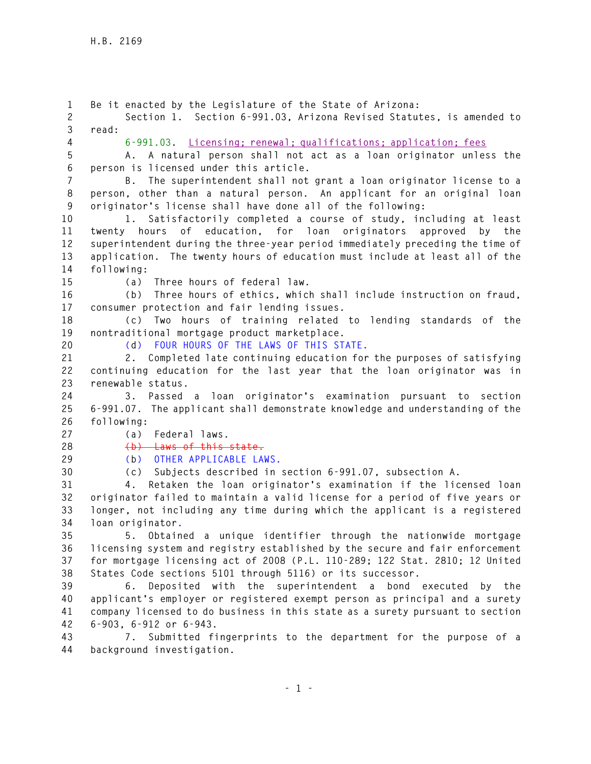**1 Be it enacted by the Legislature of the State of Arizona: 2 Section 1. Section 6-991.03, Arizona Revised Statutes, is amended to 3 read: 4 6-991.03. Licensing; renewal; qualifications; application; fees 5 A. A natural person shall not act as a loan originator unless the 6 person is licensed under this article. 7 B. The superintendent shall not grant a loan originator license to a 8 person, other than a natural person. An applicant for an original loan 9 originator's license shall have done all of the following: 10 1. Satisfactorily completed a course of study, including at least 11 twenty hours of education, for loan originators approved by the 12 superintendent during the three-year period immediately preceding the time of 13 application. The twenty hours of education must include at least all of the 14 following: 15 (a) Three hours of federal law. 16 (b) Three hours of ethics, which shall include instruction on fraud, 17 consumer protection and fair lending issues. 18 (c) Two hours of training related to lending standards of the 19 nontraditional mortgage product marketplace. 20 (d) FOUR HOURS OF THE LAWS OF THIS STATE. 21 2. Completed late continuing education for the purposes of satisfying 22 continuing education for the last year that the loan originator was in 23 renewable status. 24 3. Passed a loan originator's examination pursuant to section 25 6-991.07. The applicant shall demonstrate knowledge and understanding of the 26 following: 27 (a) Federal laws. 28 (b)****Laws of this state. 29 (b) OTHER APPLICABLE LAWS. 30 (c) Subjects described in section 6-991.07, subsection A. 31 4. Retaken the loan originator's examination if the licensed loan 32 originator failed to maintain a valid license for a period of five years or 33 longer, not including any time during which the applicant is a registered 34 loan originator. 35 5. Obtained a unique identifier through the nationwide mortgage 36 licensing system and registry established by the secure and fair enforcement 37 for mortgage licensing act of 2008 (P.L. 110-289; 122 Stat. 2810; 12 United 38 States Code sections 5101 through 5116) or its successor. 39 6. Deposited with the superintendent a bond executed by the 40 applicant's employer or registered exempt person as principal and a surety 41 company licensed to do business in this state as a surety pursuant to section 42 6-903, 6-912 or 6-943. 43 7. Submitted fingerprints to the department for the purpose of a 44 background investigation.**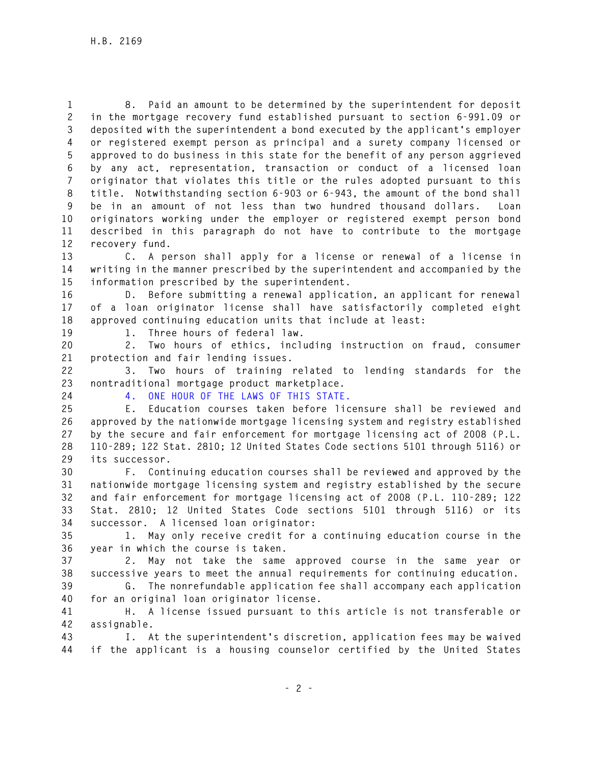**1 8. Paid an amount to be determined by the superintendent for deposit 2 in the mortgage recovery fund established pursuant to section 6-991.09 or 3 deposited with the superintendent a bond executed by the applicant's employer 4 or registered exempt person as principal and a surety company licensed or 5 approved to do business in this state for the benefit of any person aggrieved 6 by any act, representation, transaction or conduct of a licensed loan 7 originator that violates this title or the rules adopted pursuant to this 8 title. Notwithstanding section 6-903 or 6-943, the amount of the bond shall 9 be in an amount of not less than two hundred thousand dollars. Loan 10 originators working under the employer or registered exempt person bond 11 described in this paragraph do not have to contribute to the mortgage 12 recovery fund.** 

**13 C. A person shall apply for a license or renewal of a license in 14 writing in the manner prescribed by the superintendent and accompanied by the 15 information prescribed by the superintendent.** 

**16 D. Before submitting a renewal application, an applicant for renewal 17 of a loan originator license shall have satisfactorily completed eight 18 approved continuing education units that include at least:** 

**19 1. Three hours of federal law.** 

**20 2. Two hours of ethics, including instruction on fraud, consumer 21 protection and fair lending issues.** 

**22 3. Two hours of training related to lending standards for the 23 nontraditional mortgage product marketplace.** 

**24 4. ONE HOUR OF THE LAWS OF THIS STATE.** 

**25 E. Education courses taken before licensure shall be reviewed and 26 approved by the nationwide mortgage licensing system and registry established 27 by the secure and fair enforcement for mortgage licensing act of 2008 (P.L. 28 110-289; 122 Stat. 2810; 12 United States Code sections 5101 through 5116) or 29 its successor.** 

**30 F. Continuing education courses shall be reviewed and approved by the 31 nationwide mortgage licensing system and registry established by the secure 32 and fair enforcement for mortgage licensing act of 2008 (P.L. 110-289; 122 33 Stat. 2810; 12 United States Code sections 5101 through 5116) or its 34 successor. A licensed loan originator:** 

**35 1. May only receive credit for a continuing education course in the 36 year in which the course is taken.** 

**37 2. May not take the same approved course in the same year or 38 successive years to meet the annual requirements for continuing education.** 

**39 G. The nonrefundable application fee shall accompany each application 40 for an original loan originator license.** 

**41 H. A license issued pursuant to this article is not transferable or 42 assignable.** 

**43 I. At the superintendent's discretion, application fees may be waived 44 if the applicant is a housing counselor certified by the United States**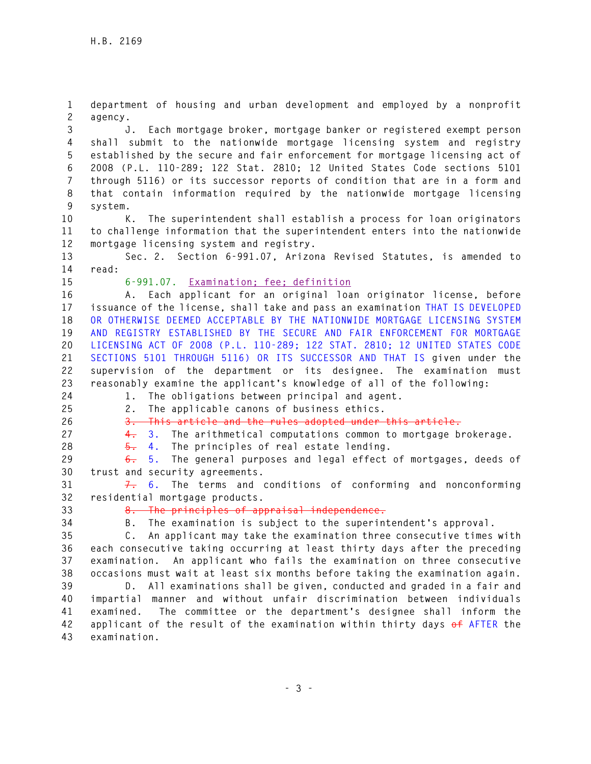**1 department of housing and urban development and employed by a nonprofit 2 agency.** 

**3 J. Each mortgage broker, mortgage banker or registered exempt person 4 shall submit to the nationwide mortgage licensing system and registry 5 established by the secure and fair enforcement for mortgage licensing act of 6 2008 (P.L. 110-289; 122 Stat. 2810; 12 United States Code sections 5101 7 through 5116) or its successor reports of condition that are in a form and 8 that contain information required by the nationwide mortgage licensing 9 system.** 

**10 K. The superintendent shall establish a process for loan originators 11 to challenge information that the superintendent enters into the nationwide 12 mortgage licensing system and registry.** 

**13 Sec. 2. Section 6-991.07, Arizona Revised Statutes, is amended to 14 read:** 

**15 6-991.07. Examination; fee; definition**

**16 A. Each applicant for an original loan originator license, before 17 issuance of the license, shall take and pass an examination THAT IS DEVELOPED 18 OR OTHERWISE DEEMED ACCEPTABLE BY THE NATIONWIDE MORTGAGE LICENSING SYSTEM 19 AND REGISTRY ESTABLISHED BY THE SECURE AND FAIR ENFORCEMENT FOR MORTGAGE 20 LICENSING ACT OF 2008 (P.L. 110-289; 122 STAT. 2810; 12 UNITED STATES CODE 21 SECTIONS 5101 THROUGH 5116) OR ITS SUCCESSOR AND THAT IS given under the 22 supervision of the department or its designee. The examination must 23 reasonably examine the applicant's knowledge of all of the following: 24 1. The obligations between principal and agent.** 

**25 2. The applicable canons of business ethics.** 

**26 3. This article and the rules adopted under this article.** 

**27 4. 3. The arithmetical computations common to mortgage brokerage.** 

**28 5. 4. The principles of real estate lending.** 

**29 6. 5. The general purposes and legal effect of mortgages, deeds of 30 trust and security agreements.** 

**31 7. 6. The terms and conditions of conforming and nonconforming 32 residential mortgage products.** 

**33 8. The principles of appraisal independence.** 

**34 B. The examination is subject to the superintendent's approval.** 

**35 C. An applicant may take the examination three consecutive times with 36 each consecutive taking occurring at least thirty days after the preceding 37 examination. An applicant who fails the examination on three consecutive 38 occasions must wait at least six months before taking the examination again.** 

**39 D. All examinations shall be given, conducted and graded in a fair and 40 impartial manner and without unfair discrimination between individuals 41 examined. The committee or the department's designee shall inform the 42 applicant of the result of the examination within thirty days of AFTER the 43 examination.**